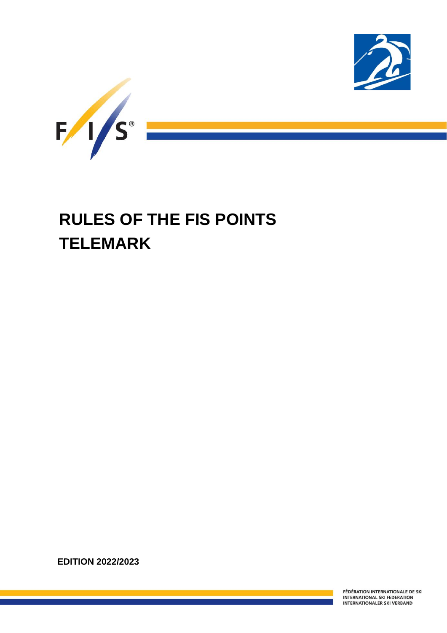



# **RULES OF THE FIS POINTS TELEMARK**

**EDITION 2022/2023**

Ī

FÉDÉRATION INTERNATIONALE DE SKI **INTERNATIONAL SKI FEDERATION INTERNATIONALER SKI VERBAND**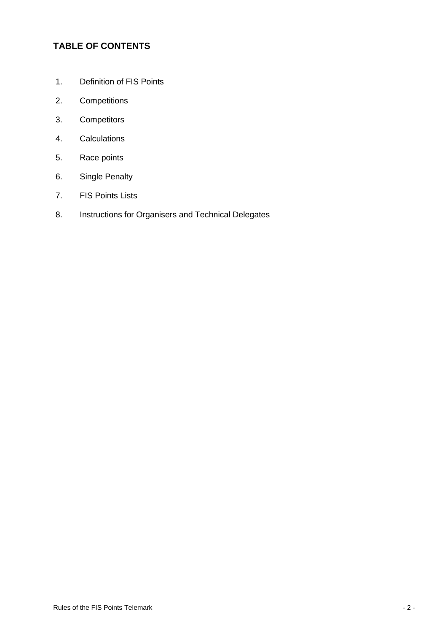# **TABLE OF CONTENTS**

- 1. Definition of FIS Points
- 2. Competitions
- 3. Competitors
- 4. Calculations
- 5. Race points
- 6. Single Penalty
- 7. FIS Points Lists
- 8. Instructions for Organisers and Technical Delegates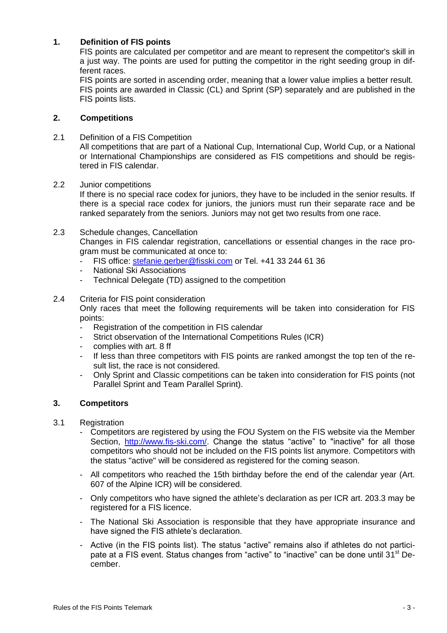## **1. Definition of FIS points**

FIS points are calculated per competitor and are meant to represent the competitor's skill in a just way. The points are used for putting the competitor in the right seeding group in different races.

FIS points are sorted in ascending order, meaning that a lower value implies a better result. FIS points are awarded in Classic (CL) and Sprint (SP) separately and are published in the FIS points lists.

## **2. Competitions**

2.1 Definition of a FIS Competition

All competitions that are part of a National Cup, International Cup, World Cup, or a National or International Championships are considered as FIS competitions and should be registered in FIS calendar.

2.2 Junior competitions

If there is no special race codex for juniors, they have to be included in the senior results. If there is a special race codex for juniors, the juniors must run their separate race and be ranked separately from the seniors. Juniors may not get two results from one race.

- 2.3 Schedule changes, Cancellation Changes in FIS calendar registration, cancellations or essential changes in the race program must be communicated at once to:
	- FIS office: [stefanie.gerber@fisski.com](mailto:lessing@fisski.com) or Tel. +41 33 244 61 36
	- **National Ski Associations**
	- Technical Delegate (TD) assigned to the competition

## 2.4 Criteria for FIS point consideration

Only races that meet the following requirements will be taken into consideration for FIS points:

- Registration of the competition in FIS calendar
- Strict observation of the International Competitions Rules (ICR)
- complies with art. 8 ff
- If less than three competitors with FIS points are ranked amongst the top ten of the result list, the race is not considered.
- Only Sprint and Classic competitions can be taken into consideration for FIS points (not Parallel Sprint and Team Parallel Sprint).

## **3. Competitors**

- 3.1 Registration
	- Competitors are registered by using the FOU System on the FIS website via the Member Section, [http://www.fis-ski.com/.](http://www.fis-ski.com/) Change the status "active" to "inactive" for all those competitors who should not be included on the FIS points list anymore. Competitors with the status "active" will be considered as registered for the coming season.
	- All competitors who reached the 15th birthday before the end of the calendar year (Art. 607 of the Alpine ICR) will be considered.
	- Only competitors who have signed the athlete's declaration as per ICR art. 203.3 may be registered for a FIS licence.
	- The National Ski Association is responsible that they have appropriate insurance and have signed the FIS athlete's declaration.
	- Active (in the FIS points list). The status "active" remains also if athletes do not participate at a FIS event. Status changes from "active" to "inactive" can be done until 31<sup>st</sup> December.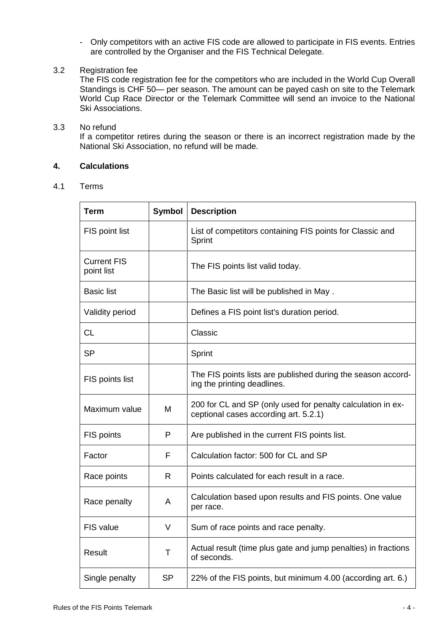- Only competitors with an active FIS code are allowed to participate in FIS events. Entries are controlled by the Organiser and the FIS Technical Delegate.

## 3.2 Registration fee

The FIS code registration fee for the competitors who are included in the World Cup Overall Standings is CHF 50— per season. The amount can be payed cash on site to the Telemark World Cup Race Director or the Telemark Committee will send an invoice to the National Ski Associations.

## 3.3 No refund

If a competitor retires during the season or there is an incorrect registration made by the National Ski Association, no refund will be made.

## **4. Calculations**

## 4.1 Terms

| Term                             | <b>Symbol</b> | <b>Description</b>                                                                                   |
|----------------------------------|---------------|------------------------------------------------------------------------------------------------------|
| FIS point list                   |               | List of competitors containing FIS points for Classic and<br>Sprint                                  |
| <b>Current FIS</b><br>point list |               | The FIS points list valid today.                                                                     |
| <b>Basic list</b>                |               | The Basic list will be published in May.                                                             |
| Validity period                  |               | Defines a FIS point list's duration period.                                                          |
| <b>CL</b>                        |               | Classic                                                                                              |
| <b>SP</b>                        |               | Sprint                                                                                               |
| FIS points list                  |               | The FIS points lists are published during the season accord-<br>ing the printing deadlines.          |
| Maximum value                    | M             | 200 for CL and SP (only used for penalty calculation in ex-<br>ceptional cases according art. 5.2.1) |
| FIS points                       | P             | Are published in the current FIS points list.                                                        |
| Factor                           | F             | Calculation factor: 500 for CL and SP                                                                |
| Race points                      | R             | Points calculated for each result in a race.                                                         |
| Race penalty                     | A             | Calculation based upon results and FIS points. One value<br>per race.                                |
| FIS value                        | V             | Sum of race points and race penalty.                                                                 |
| Result                           | т             | Actual result (time plus gate and jump penalties) in fractions<br>of seconds.                        |
| Single penalty                   | SP            | 22% of the FIS points, but minimum 4.00 (according art. 6.)                                          |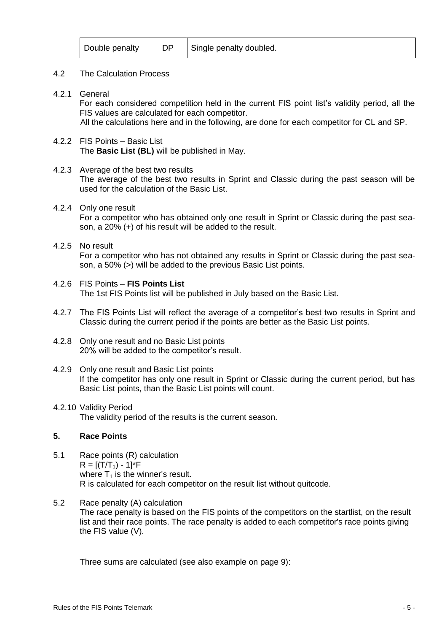#### 4.2 The Calculation Process

4.2.1 General

For each considered competition held in the current FIS point list's validity period, all the FIS values are calculated for each competitor.

All the calculations here and in the following, are done for each competitor for CL and SP.

4.2.2 FIS Points – Basic List The **Basic List (BL)** will be published in May.

## 4.2.3 Average of the best two results

The average of the best two results in Sprint and Classic during the past season will be used for the calculation of the Basic List.

## 4.2.4 Only one result

For a competitor who has obtained only one result in Sprint or Classic during the past season, a 20% (+) of his result will be added to the result.

## 4.2.5 No result

For a competitor who has not obtained any results in Sprint or Classic during the past season, a 50% (>) will be added to the previous Basic List points.

- 4.2.6 FIS Points **FIS Points List** The 1st FIS Points list will be published in July based on the Basic List.
- 4.2.7 The FIS Points List will reflect the average of a competitor's best two results in Sprint and Classic during the current period if the points are better as the Basic List points.
- 4.2.8 Only one result and no Basic List points 20% will be added to the competitor's result.

## 4.2.9 Only one result and Basic List points

If the competitor has only one result in Sprint or Classic during the current period, but has Basic List points, than the Basic List points will count.

#### 4.2.10 Validity Period The validity period of the results is the current season.

## **5. Race Points**

- 5.1 Race points (R) calculation  $R = [(T/T<sub>1</sub>) - 1]^*F$ where  $T_1$  is the winner's result. R is calculated for each competitor on the result list without quitcode.
- 5.2 Race penalty (A) calculation The race penalty is based on the FIS points of the competitors on the startlist, on the result list and their race points. The race penalty is added to each competitor's race points giving the FIS value (V).

Three sums are calculated (see also example on page 9):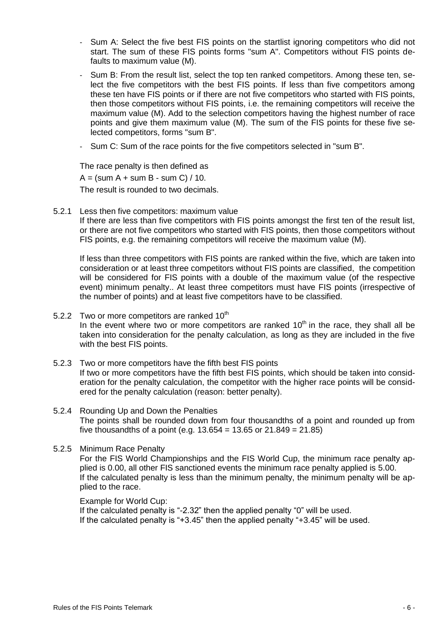- Sum A: Select the five best FIS points on the startlist ignoring competitors who did not start. The sum of these FIS points forms "sum A". Competitors without FIS points defaults to maximum value (M).
- Sum B: From the result list, select the top ten ranked competitors. Among these ten, select the five competitors with the best FIS points. If less than five competitors among these ten have FIS points or if there are not five competitors who started with FIS points, then those competitors without FIS points, i.e. the remaining competitors will receive the maximum value (M). Add to the selection competitors having the highest number of race points and give them maximum value (M). The sum of the FIS points for these five selected competitors, forms "sum B".
- Sum C: Sum of the race points for the five competitors selected in "sum B".

The race penalty is then defined as  $A = (sum A + sum B - sum C) / 10.$ The result is rounded to two decimals.

5.2.1 Less then five competitors: maximum value

If there are less than five competitors with FIS points amongst the first ten of the result list, or there are not five competitors who started with FIS points, then those competitors without FIS points, e.g. the remaining competitors will receive the maximum value (M).

If less than three competitors with FIS points are ranked within the five, which are taken into consideration or at least three competitors without FIS points are classified, the competition will be considered for FIS points with a double of the maximum value (of the respective event) minimum penalty.. At least three competitors must have FIS points (irrespective of the number of points) and at least five competitors have to be classified.

- 5.2.2 Two or more competitors are ranked  $10^{th}$ In the event where two or more competitors are ranked  $10<sup>th</sup>$  in the race, they shall all be taken into consideration for the penalty calculation, as long as they are included in the five with the best FIS points.
- 5.2.3 Two or more competitors have the fifth best FIS points If two or more competitors have the fifth best FIS points, which should be taken into consideration for the penalty calculation, the competitor with the higher race points will be considered for the penalty calculation (reason: better penalty).
- 5.2.4 Rounding Up and Down the Penalties The points shall be rounded down from four thousandths of a point and rounded up from five thousandths of a point (e.g.  $13.654 = 13.65$  or  $21.849 = 21.85$ )
- 5.2.5 Minimum Race Penalty

For the FIS World Championships and the FIS World Cup, the minimum race penalty applied is 0.00, all other FIS sanctioned events the minimum race penalty applied is 5.00. If the calculated penalty is less than the minimum penalty, the minimum penalty will be applied to the race.

Example for World Cup:

If the calculated penalty is "-2.32" then the applied penalty "0" will be used. If the calculated penalty is "+3.45" then the applied penalty "+3.45" will be used.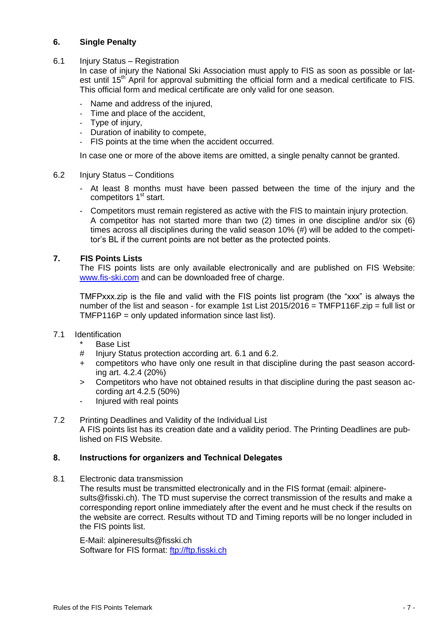## **6. Single Penalty**

6.1 Injury Status – Registration

In case of injury the National Ski Association must apply to FIS as soon as possible or latest until 15<sup>th</sup> April for approval submitting the official form and a medical certificate to FIS. This official form and medical certificate are only valid for one season.

- Name and address of the injured,
- Time and place of the accident,
- Type of injury,
- Duration of inability to compete,
- FIS points at the time when the accident occurred.

In case one or more of the above items are omitted, a single penalty cannot be granted.

#### 6.2 Injury Status – Conditions

- At least 8 months must have been passed between the time of the injury and the competitors 1<sup>st</sup> start.
- Competitors must remain registered as active with the FIS to maintain injury protection. A competitor has not started more than two (2) times in one discipline and/or six (6) times across all disciplines during the valid season 10% (#) will be added to the competitor's BL if the current points are not better as the protected points.

## **7. FIS Points Lists**

The FIS points lists are only available electronically and are published on FIS Website: [www.fis-ski.com](http://www.fis-ski.com/) and can be downloaded free of charge.

TMFPxxx.zip is the file and valid with the FIS points list program (the "xxx" is always the number of the list and season - for example 1st List 2015/2016 = TMFP116F.zip = full list or TMFP116P = only updated information since last list).

## 7.1 Identification

- \* Base List
- # Injury Status protection according art. 6.1 and 6.2.
- + competitors who have only one result in that discipline during the past season according art. 4.2.4 (20%)
- > Competitors who have not obtained results in that discipline during the past season according art 4.2.5 (50%)
- Injured with real points
- 7.2 Printing Deadlines and Validity of the Individual List A FIS points list has its creation date and a validity period. The Printing Deadlines are published on FIS Website.

## **8. Instructions for organizers and Technical Delegates**

8.1 Electronic data transmission

The results must be transmitted electronically and in the FIS format (email: alpineresults@fisski.ch). The TD must supervise the correct transmission of the results and make a corresponding report online immediately after the event and he must check if the results on the website are correct. Results without TD and Timing reports will be no longer included in the FIS points list.

E-Mail: alpineresults@fisski.ch Software for FIS format: [ftp://ftp.fisski.ch](ftp://ftp.fisski.ch/)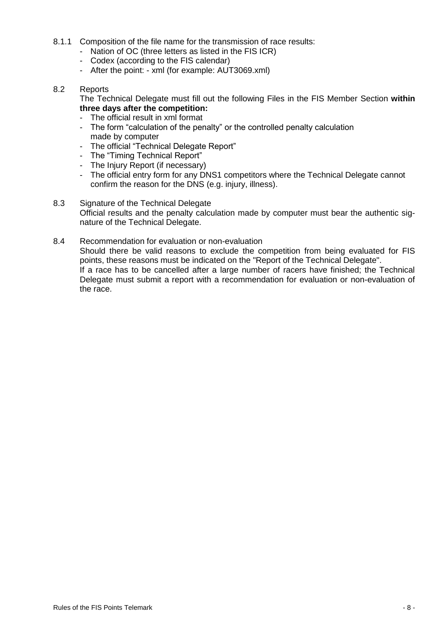- 8.1.1 Composition of the file name for the transmission of race results:
	- Nation of OC (three letters as listed in the FIS ICR)
	- Codex (according to the FIS calendar)
	- After the point: xml (for example: AUT3069.xml)

## 8.2 Reports

The Technical Delegate must fill out the following Files in the FIS Member Section **within three days after the competition:**

- The official result in xml format
- The form "calculation of the penalty" or the controlled penalty calculation made by computer
- The official "Technical Delegate Report"
- The "Timing Technical Report"
- The Injury Report (if necessary)
- The official entry form for any DNS1 competitors where the Technical Delegate cannot confirm the reason for the DNS (e.g. injury, illness).
- 8.3 Signature of the Technical Delegate Official results and the penalty calculation made by computer must bear the authentic signature of the Technical Delegate.
- 8.4 Recommendation for evaluation or non-evaluation

Should there be valid reasons to exclude the competition from being evaluated for FIS points, these reasons must be indicated on the "Report of the Technical Delegate". If a race has to be cancelled after a large number of racers have finished; the Technical Delegate must submit a report with a recommendation for evaluation or non-evaluation of the race.